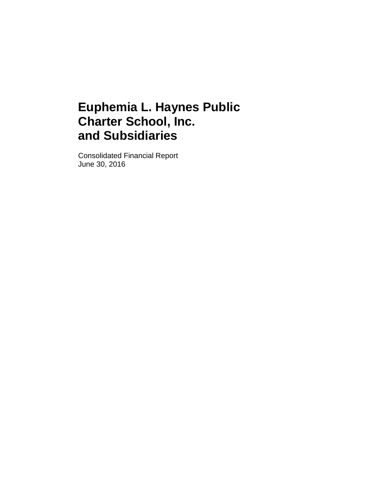Consolidated Financial Report June 30, 2016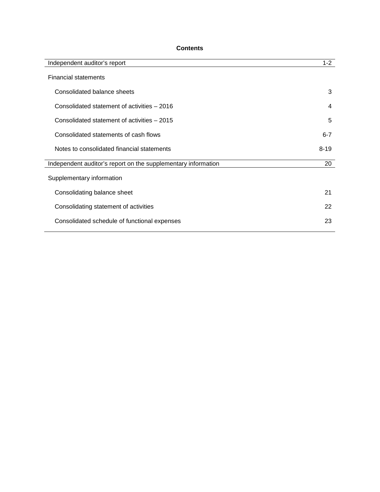# **Contents**

| Independent auditor's report                                  | $1 - 2$  |
|---------------------------------------------------------------|----------|
| <b>Financial statements</b>                                   |          |
| Consolidated balance sheets                                   | 3        |
| Consolidated statement of activities - 2016                   | 4        |
| Consolidated statement of activities - 2015                   | 5        |
| Consolidated statements of cash flows                         | $6 - 7$  |
| Notes to consolidated financial statements                    | $8 - 19$ |
| Independent auditor's report on the supplementary information | 20       |
| Supplementary information                                     |          |
| Consolidating balance sheet                                   | 21       |
| Consolidating statement of activities                         | 22       |
| Consolidated schedule of functional expenses                  | 23       |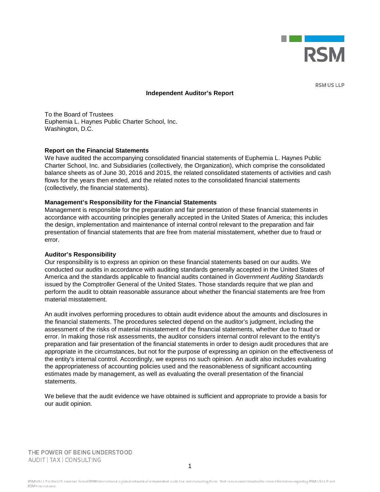

**RSM US LLP** 

#### **Independent Auditor's Report**

To the Board of Trustees Euphemia L. Haynes Public Charter School, Inc. Washington, D.C.

#### **Report on the Financial Statements**

We have audited the accompanying consolidated financial statements of Euphemia L. Haynes Public Charter School, Inc. and Subsidiaries (collectively, the Organization), which comprise the consolidated balance sheets as of June 30, 2016 and 2015, the related consolidated statements of activities and cash flows for the years then ended, and the related notes to the consolidated financial statements (collectively, the financial statements).

#### **Management's Responsibility for the Financial Statements**

Management is responsible for the preparation and fair presentation of these financial statements in accordance with accounting principles generally accepted in the United States of America; this includes the design, implementation and maintenance of internal control relevant to the preparation and fair presentation of financial statements that are free from material misstatement, whether due to fraud or error.

#### **Auditor's Responsibility**

Our responsibility is to express an opinion on these financial statements based on our audits. We conducted our audits in accordance with auditing standards generally accepted in the United States of America and the standards applicable to financial audits contained in *Government Auditing Standards* issued by the Comptroller General of the United States. Those standards require that we plan and perform the audit to obtain reasonable assurance about whether the financial statements are free from material misstatement.

An audit involves performing procedures to obtain audit evidence about the amounts and disclosures in the financial statements. The procedures selected depend on the auditor's judgment, including the assessment of the risks of material misstatement of the financial statements, whether due to fraud or error. In making those risk assessments, the auditor considers internal control relevant to the entity's preparation and fair presentation of the financial statements in order to design audit procedures that are appropriate in the circumstances, but not for the purpose of expressing an opinion on the effectiveness of the entity's internal control. Accordingly, we express no such opinion. An audit also includes evaluating the appropriateness of accounting policies used and the reasonableness of significant accounting estimates made by management, as well as evaluating the overall presentation of the financial statements.

We believe that the audit evidence we have obtained is sufficient and appropriate to provide a basis for our audit opinion.

THE POWER OF BEING UNDERSTOOD AUDIT | TAX | CONSULTING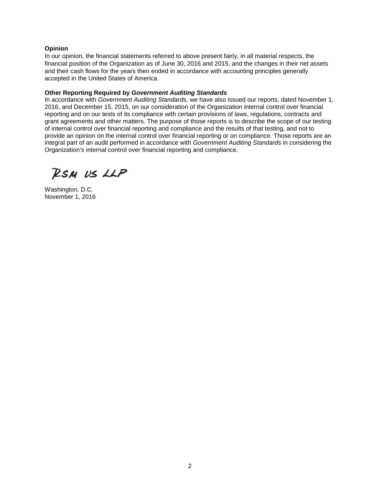## **Opinion**

In our opinion, the financial statements referred to above present fairly, in all material respects, the financial position of the Organization as of June 30, 2016 and 2015, and the changes in their net assets and their cash flows for the years then ended in accordance with accounting principles generally accepted in the United States of America.

## **Other Reporting Required by** *Government Auditing Standards*

In accordance with *Government Auditing Standards*, we have also issued our reports, dated November 1, 2016, and December 15, 2015, on our consideration of the Organization internal control over financial reporting and on our tests of its compliance with certain provisions of laws, regulations, contracts and grant agreements and other matters. The purpose of those reports is to describe the scope of our testing of internal control over financial reporting and compliance and the results of that testing, and not to provide an opinion on the internal control over financial reporting or on compliance. Those reports are an integral part of an audit performed in accordance with *Government Auditing Standards* in considering the Organization's internal control over financial reporting and compliance.

RSM US LLP

Washington, D.C. November 1, 2016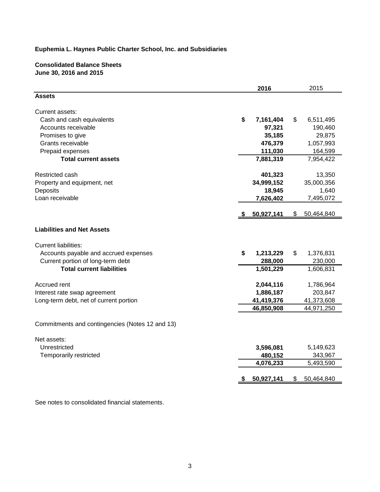# **Consolidated Balance Sheets June 30, 2016 and 2015**

|                                                 | 2016            |     | 2015       |
|-------------------------------------------------|-----------------|-----|------------|
| <b>Assets</b>                                   |                 |     |            |
| Current assets:                                 |                 |     |            |
| Cash and cash equivalents                       | \$<br>7,161,404 | \$  | 6,511,495  |
| Accounts receivable                             | 97,321          |     | 190,460    |
| Promises to give                                | 35,185          |     | 29,875     |
| Grants receivable                               | 476,379         |     | 1,057,993  |
| Prepaid expenses                                | 111,030         |     | 164,599    |
| <b>Total current assets</b>                     | 7,881,319       |     | 7,954,422  |
| Restricted cash                                 | 401,323         |     | 13,350     |
| Property and equipment, net                     | 34,999,152      |     | 35,000,356 |
| Deposits                                        | 18,945          |     | 1,640      |
| Loan receivable                                 | 7,626,402       |     | 7,495,072  |
|                                                 | 50,927,141      | S.  | 50,464,840 |
|                                                 |                 |     |            |
| <b>Liabilities and Net Assets</b>               |                 |     |            |
| <b>Current liabilities:</b>                     |                 |     |            |
| Accounts payable and accrued expenses           | \$<br>1,213,229 | \$. | 1,376,831  |
| Current portion of long-term debt               | 288,000         |     | 230,000    |
| <b>Total current liabilities</b>                | 1,501,229       |     | 1,606,831  |
| Accrued rent                                    | 2,044,116       |     | 1,786,964  |
| Interest rate swap agreement                    | 1,886,187       |     | 203,847    |
| Long-term debt, net of current portion          | 41,419,376      |     | 41,373,608 |
|                                                 | 46,850,908      |     | 44,971,250 |
| Commitments and contingencies (Notes 12 and 13) |                 |     |            |
|                                                 |                 |     |            |
| Net assets:                                     |                 |     |            |
| Unrestricted                                    | 3,596,081       |     | 5,149,623  |
| Temporarily restricted                          | 480,152         |     | 343,967    |
|                                                 | 4,076,233       |     | 5,493,590  |
|                                                 | 50,927,141      | S   | 50,464,840 |
|                                                 |                 |     |            |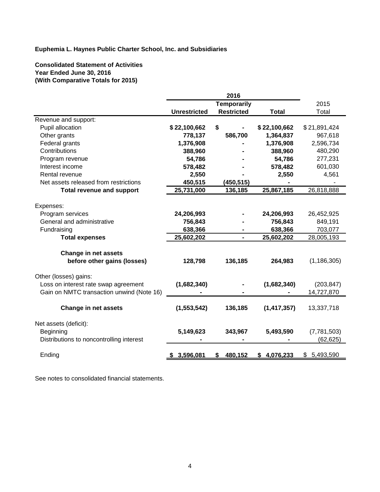**Consolidated Statement of Activities Year Ended June 30, 2016 (With Comparative Totals for 2015)**

|                                           |                     | <b>Temporarily</b> |                 | 2015            |
|-------------------------------------------|---------------------|--------------------|-----------------|-----------------|
|                                           | <b>Unrestricted</b> | <b>Restricted</b>  | <b>Total</b>    | Total           |
| Revenue and support:                      |                     |                    |                 |                 |
| Pupil allocation                          | \$22,100,662        | \$                 | \$22,100,662    | \$21,891,424    |
| Other grants                              | 778,137             | 586,700            | 1,364,837       | 967,618         |
| Federal grants                            | 1,376,908           |                    | 1,376,908       | 2,596,734       |
| Contributions                             | 388,960             |                    | 388,960         | 480,290         |
| Program revenue                           | 54,786              |                    | 54,786          | 277,231         |
| Interest income                           | 578,482             |                    | 578,482         | 601,030         |
| Rental revenue                            | 2,550               |                    | 2,550           | 4,561           |
| Net assets released from restrictions     | 450,515             | (450,515)          |                 |                 |
| <b>Total revenue and support</b>          | 25,731,000          | 136,185            | 25,867,185      | 26,818,888      |
|                                           |                     |                    |                 |                 |
| Expenses:                                 |                     |                    |                 |                 |
| Program services                          | 24,206,993          |                    | 24,206,993      | 26,452,925      |
| General and administrative                | 756,843             |                    | 756,843         | 849,191         |
| Fundraising                               | 638,366             |                    | 638,366         | 703,077         |
| <b>Total expenses</b>                     | 25,602,202          | $\blacksquare$     | 25,602,202      | 28,005,193      |
|                                           |                     |                    |                 |                 |
| <b>Change in net assets</b>               |                     |                    |                 |                 |
| before other gains (losses)               | 128,798             | 136,185            | 264,983         | (1, 186, 305)   |
|                                           |                     |                    |                 |                 |
| Other (losses) gains:                     |                     |                    |                 |                 |
| Loss on interest rate swap agreement      | (1,682,340)         |                    | (1,682,340)     | (203, 847)      |
| Gain on NMTC transaction unwind (Note 16) |                     |                    |                 | 14,727,870      |
|                                           |                     |                    |                 |                 |
| <b>Change in net assets</b>               | (1,553,542)         | 136,185            | (1, 417, 357)   | 13,337,718      |
|                                           |                     |                    |                 |                 |
| Net assets (deficit):                     |                     |                    |                 |                 |
| Beginning                                 | 5,149,623           | 343,967            | 5,493,590       | (7,781,503)     |
| Distributions to noncontrolling interest  |                     |                    |                 | (62, 625)       |
|                                           |                     |                    |                 |                 |
| Ending                                    | \$3,596,081         | 480,152<br>\$      | 4,076,233<br>\$ | 5,493,590<br>\$ |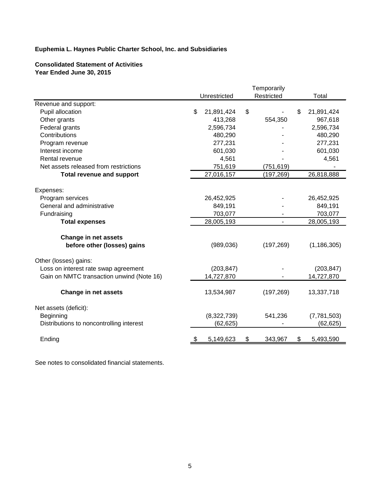# **Consolidated Statement of Activities Year Ended June 30, 2015**

|                                           |                  | Temporarily    |                  |
|-------------------------------------------|------------------|----------------|------------------|
|                                           | Unrestricted     | Restricted     | Total            |
| Revenue and support:                      |                  |                |                  |
| Pupil allocation                          | \$<br>21,891,424 | \$             | \$<br>21,891,424 |
| Other grants                              | 413,268          | 554,350        | 967,618          |
| Federal grants                            | 2,596,734        |                | 2,596,734        |
| Contributions                             | 480,290          |                | 480,290          |
| Program revenue                           | 277,231          |                | 277,231          |
| Interest income                           | 601,030          |                | 601,030          |
| Rental revenue                            | 4,561            |                | 4,561            |
| Net assets released from restrictions     | 751,619          | (751, 619)     |                  |
| <b>Total revenue and support</b>          | 27,016,157       | (197, 269)     | 26,818,888       |
|                                           |                  |                |                  |
| Expenses:<br>Program services             | 26,452,925       |                | 26,452,925       |
| General and administrative                | 849,191          |                | 849,191          |
| Fundraising                               | 703,077          |                | 703,077          |
| <b>Total expenses</b>                     | 28,005,193       | $\blacksquare$ | 28,005,193       |
|                                           |                  |                |                  |
| <b>Change in net assets</b>               |                  |                |                  |
| before other (losses) gains               | (989, 036)       | (197, 269)     | (1, 186, 305)    |
| Other (losses) gains:                     |                  |                |                  |
| Loss on interest rate swap agreement      | (203, 847)       |                | (203, 847)       |
| Gain on NMTC transaction unwind (Note 16) | 14,727,870       |                | 14,727,870       |
|                                           |                  |                |                  |
| <b>Change in net assets</b>               | 13,534,987       | (197, 269)     | 13,337,718       |
| Net assets (deficit):                     |                  |                |                  |
| Beginning                                 | (8,322,739)      | 541,236        | (7,781,503)      |
| Distributions to noncontrolling interest  | (62, 625)        |                | (62, 625)        |
|                                           |                  |                |                  |
| Ending                                    | \$<br>5,149,623  | \$<br>343,967  | \$<br>5,493,590  |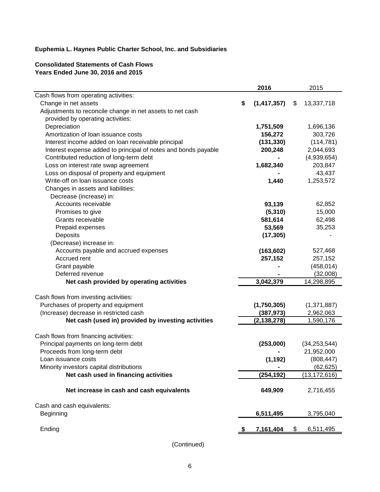# **Consolidated Statements of Cash Flows Years Ended June 30, 2016 and 2015**

|                                                                |      | 2016          | 2015             |
|----------------------------------------------------------------|------|---------------|------------------|
| Cash flows from operating activities:                          |      |               |                  |
| Change in net assets                                           | \$   | (1, 417, 357) | \$<br>13,337,718 |
| Adjustments to reconcile change in net assets to net cash      |      |               |                  |
| provided by operating activities:                              |      |               |                  |
| Depreciation                                                   |      | 1,751,509     | 1,696,136        |
| Amortization of Ioan issuance costs                            |      | 156,272       | 303,726          |
| Interest income added on loan receivable principal             |      | (131, 330)    | (114, 781)       |
| Interest expense added to principal of notes and bonds payable |      | 200,248       | 2,044,693        |
| Contributed reduction of long-term debt                        |      |               | (4,939,654)      |
| Loss on interest rate swap agreement                           |      | 1,682,340     | 203,847          |
| Loss on disposal of property and equipment                     |      |               | 43,437           |
| Write-off on loan issuance costs                               |      | 1,440         | 1,253,572        |
| Changes in assets and liabilities:                             |      |               |                  |
| Decrease (increase) in:                                        |      |               |                  |
| Accounts receivable                                            |      | 93,139        | 62,852           |
| Promises to give                                               |      | (5, 310)      | 15,000           |
| Grants receivable                                              |      | 581,614       | 62,498           |
| Prepaid expenses                                               |      | 53,569        | 35,253           |
| Deposits                                                       |      | (17, 305)     |                  |
| (Decrease) increase in:                                        |      |               |                  |
| Accounts payable and accrued expenses                          |      | (163, 602)    | 527,468          |
| Accrued rent                                                   |      | 257,152       | 257,152          |
| Grant payable                                                  |      |               | (458, 014)       |
| Deferred revenue                                               |      |               | (32,008)         |
| Net cash provided by operating activities                      |      | 3,042,379     | 14,298,895       |
| Cash flows from investing activities:                          |      |               |                  |
| Purchases of property and equipment                            |      | (1,750,305)   | (1,371,887)      |
| (Increase) decrease in restricted cash                         |      | (387, 973)    | 2,962,063        |
| Net cash (used in) provided by investing activities            |      | (2, 138, 278) | 1,590,176        |
|                                                                |      |               |                  |
| Cash flows from financing activities:                          |      |               |                  |
| Principal payments on long-term debt                           |      | (253,000)     | (34, 253, 544)   |
| Proceeds from long-term debt                                   |      |               | 21,952,000       |
| Loan issuance costs                                            |      | (1, 192)      | (808, 447)       |
| Minority investors capital distributions                       |      |               | (62, 625)        |
| Net cash used in financing activities                          |      | (254, 192)    | (13, 172, 616)   |
| Net increase in cash and cash equivalents                      |      | 649,909       | 2,716,455        |
| Cash and cash equivalents:                                     |      |               |                  |
| Beginning                                                      |      | 6,511,495     | 3,795,040        |
|                                                                |      |               |                  |
| Ending                                                         | - \$ | 7,161,404     | \$<br>6,511,495  |

(Continued)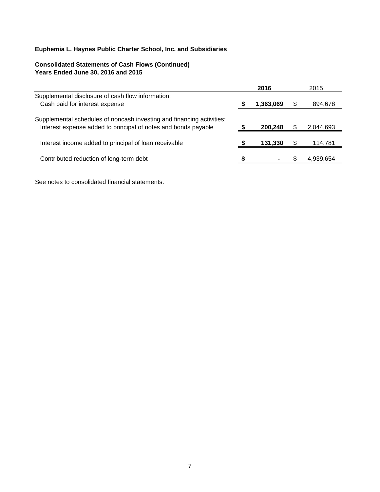# **Consolidated Statements of Cash Flows (Continued) Years Ended June 30, 2016 and 2015**

|                                                                                                                                         | 2016      | 2015      |
|-----------------------------------------------------------------------------------------------------------------------------------------|-----------|-----------|
| Supplemental disclosure of cash flow information:<br>Cash paid for interest expense                                                     | 1,363,069 | 894,678   |
| Supplemental schedules of noncash investing and financing activities:<br>Interest expense added to principal of notes and bonds payable | 200,248   | 2,044,693 |
| Interest income added to principal of loan receivable                                                                                   | 131.330   | 114,781   |
| Contributed reduction of long-term debt                                                                                                 |           | 4,939,654 |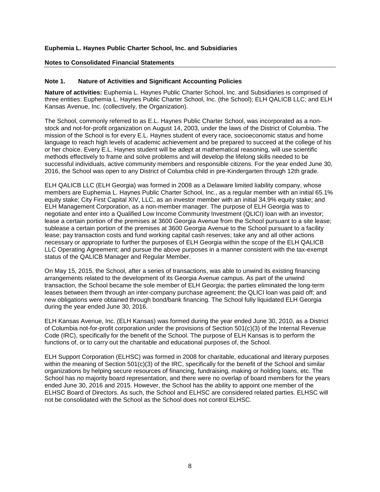#### **Notes to Consolidated Financial Statements**

#### **Note 1. Nature of Activities and Significant Accounting Policies**

**Nature of activities:** Euphemia L. Haynes Public Charter School, Inc. and Subsidiaries is comprised of three entities: Euphemia L. Haynes Public Charter School, Inc. (the School); ELH QALICB LLC; and ELH Kansas Avenue, Inc. (collectively, the Organization).

The School, commonly referred to as E.L. Haynes Public Charter School, was incorporated as a nonstock and not-for-profit organization on August 14, 2003, under the laws of the District of Columbia. The mission of the School is for every E.L. Haynes student of every race, socioeconomic status and home language to reach high levels of academic achievement and be prepared to succeed at the college of his or her choice. Every E.L. Haynes student will be adept at mathematical reasoning, will use scientific methods effectively to frame and solve problems and will develop the lifelong skills needed to be successful individuals, active community members and responsible citizens. For the year ended June 30, 2016, the School was open to any District of Columbia child in pre-Kindergarten through 12th grade.

ELH QALICB LLC (ELH Georgia) was formed in 2008 as a Delaware limited liability company, whose members are Euphemia L. Haynes Public Charter School, Inc., as a regular member with an initial 65.1% equity stake; City First Capital XIV, LLC, as an investor member with an initial 34.9% equity stake; and ELH Management Corporation, as a non-member manager. The purpose of ELH Georgia was to negotiate and enter into a Qualified Low Income Community Investment (QLICI) loan with an investor; lease a certain portion of the premises at 3600 Georgia Avenue from the School pursuant to a site lease; sublease a certain portion of the premises at 3600 Georgia Avenue to the School pursuant to a facility lease; pay transaction costs and fund working capital cash reserves; take any and all other actions necessary or appropriate to further the purposes of ELH Georgia within the scope of the ELH QALICB LLC Operating Agreement; and pursue the above purposes in a manner consistent with the tax-exempt status of the QALICB Manager and Regular Member.

On May 15, 2015, the School, after a series of transactions, was able to unwind its existing financing arrangements related to the development of its Georgia Avenue campus. As part of the unwind transaction, the School became the sole member of ELH Georgia; the parties eliminated the long-term leases between them through an inter-company purchase agreement; the QLICI loan was paid off; and new obligations were obtained through bond/bank financing. The School fully liquidated ELH Georgia during the year ended June 30, 2016.

ELH Kansas Avenue, Inc. (ELH Kansas) was formed during the year ended June 30, 2010, as a District of Columbia not-for-profit corporation under the provisions of Section 501(c)(3) of the Internal Revenue Code (IRC), specifically for the benefit of the School. The purpose of ELH Kansas is to perform the functions of, or to carry out the charitable and educational purposes of, the School.

ELH Support Corporation (ELHSC) was formed in 2008 for charitable, educational and literary purposes within the meaning of Section 501(c)(3) of the IRC, specifically for the benefit of the School and similar organizations by helping secure resources of financing, fundraising, making or holding loans, etc. The School has no majority board representation, and there were no overlap of board members for the years ended June 30, 2016 and 2015. However, the School has the ability to appoint one member of the ELHSC Board of Directors. As such, the School and ELHSC are considered related parties. ELHSC will not be consolidated with the School as the School does not control ELHSC.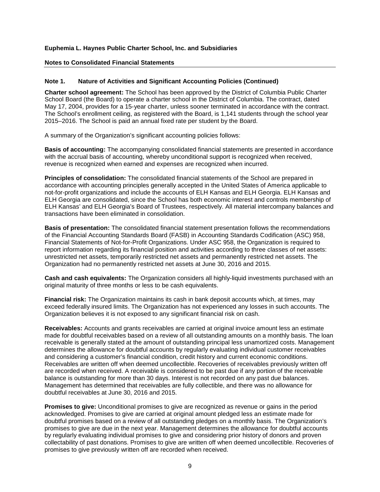#### **Notes to Consolidated Financial Statements**

## **Note 1. Nature of Activities and Significant Accounting Policies (Continued)**

**Charter school agreement:** The School has been approved by the District of Columbia Public Charter School Board (the Board) to operate a charter school in the District of Columbia. The contract, dated May 17, 2004, provides for a 15-year charter, unless sooner terminated in accordance with the contract. The School's enrollment ceiling, as registered with the Board, is 1,141 students through the school year 2015–2016. The School is paid an annual fixed rate per student by the Board.

A summary of the Organization's significant accounting policies follows:

**Basis of accounting:** The accompanying consolidated financial statements are presented in accordance with the accrual basis of accounting, whereby unconditional support is recognized when received, revenue is recognized when earned and expenses are recognized when incurred.

**Principles of consolidation:** The consolidated financial statements of the School are prepared in accordance with accounting principles generally accepted in the United States of America applicable to not-for-profit organizations and include the accounts of ELH Kansas and ELH Georgia. ELH Kansas and ELH Georgia are consolidated, since the School has both economic interest and controls membership of ELH Kansas' and ELH Georgia's Board of Trustees, respectively. All material intercompany balances and transactions have been eliminated in consolidation.

**Basis of presentation:** The consolidated financial statement presentation follows the recommendations of the Financial Accounting Standards Board (FASB) in Accounting Standards Codification (ASC) 958, Financial Statements of Not-for-Profit Organizations. Under ASC 958, the Organization is required to report information regarding its financial position and activities according to three classes of net assets: unrestricted net assets, temporarily restricted net assets and permanently restricted net assets. The Organization had no permanently restricted net assets at June 30, 2016 and 2015.

**Cash and cash equivalents:** The Organization considers all highly-liquid investments purchased with an original maturity of three months or less to be cash equivalents.

**Financial risk:** The Organization maintains its cash in bank deposit accounts which, at times, may exceed federally insured limits. The Organization has not experienced any losses in such accounts. The Organization believes it is not exposed to any significant financial risk on cash.

**Receivables:** Accounts and grants receivables are carried at original invoice amount less an estimate made for doubtful receivables based on a review of all outstanding amounts on a monthly basis. The loan receivable is generally stated at the amount of outstanding principal less unamortized costs. Management determines the allowance for doubtful accounts by regularly evaluating individual customer receivables and considering a customer's financial condition, credit history and current economic conditions. Receivables are written off when deemed uncollectible. Recoveries of receivables previously written off are recorded when received. A receivable is considered to be past due if any portion of the receivable balance is outstanding for more than 30 days. Interest is not recorded on any past due balances. Management has determined that receivables are fully collectible, and there was no allowance for doubtful receivables at June 30, 2016 and 2015.

**Promises to give:** Unconditional promises to give are recognized as revenue or gains in the period acknowledged. Promises to give are carried at original amount pledged less an estimate made for doubtful promises based on a review of all outstanding pledges on a monthly basis. The Organization's promises to give are due in the next year. Management determines the allowance for doubtful accounts by regularly evaluating individual promises to give and considering prior history of donors and proven collectability of past donations. Promises to give are written off when deemed uncollectible. Recoveries of promises to give previously written off are recorded when received.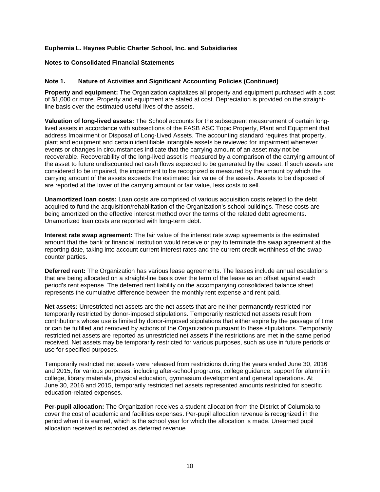#### **Notes to Consolidated Financial Statements**

## **Note 1. Nature of Activities and Significant Accounting Policies (Continued)**

**Property and equipment:** The Organization capitalizes all property and equipment purchased with a cost of \$1,000 or more. Property and equipment are stated at cost. Depreciation is provided on the straightline basis over the estimated useful lives of the assets.

**Valuation of long-lived assets:** The School accounts for the subsequent measurement of certain longlived assets in accordance with subsections of the FASB ASC Topic Property, Plant and Equipment that address Impairment or Disposal of Long-Lived Assets. The accounting standard requires that property, plant and equipment and certain identifiable intangible assets be reviewed for impairment whenever events or changes in circumstances indicate that the carrying amount of an asset may not be recoverable. Recoverability of the long-lived asset is measured by a comparison of the carrying amount of the asset to future undiscounted net cash flows expected to be generated by the asset. If such assets are considered to be impaired, the impairment to be recognized is measured by the amount by which the carrying amount of the assets exceeds the estimated fair value of the assets. Assets to be disposed of are reported at the lower of the carrying amount or fair value, less costs to sell.

**Unamortized loan costs:** Loan costs are comprised of various acquisition costs related to the debt acquired to fund the acquisition/rehabilitation of the Organization's school buildings. These costs are being amortized on the effective interest method over the terms of the related debt agreements. Unamortized loan costs are reported with long-term debt.

**Interest rate swap agreement:** The fair value of the interest rate swap agreements is the estimated amount that the bank or financial institution would receive or pay to terminate the swap agreement at the reporting date, taking into account current interest rates and the current credit worthiness of the swap counter parties.

**Deferred rent:** The Organization has various lease agreements. The leases include annual escalations that are being allocated on a straight-line basis over the term of the lease as an offset against each period's rent expense. The deferred rent liability on the accompanying consolidated balance sheet represents the cumulative difference between the monthly rent expense and rent paid.

**Net assets:** Unrestricted net assets are the net assets that are neither permanently restricted nor temporarily restricted by donor-imposed stipulations. Temporarily restricted net assets result from contributions whose use is limited by donor-imposed stipulations that either expire by the passage of time or can be fulfilled and removed by actions of the Organization pursuant to these stipulations. Temporarily restricted net assets are reported as unrestricted net assets if the restrictions are met in the same period received. Net assets may be temporarily restricted for various purposes, such as use in future periods or use for specified purposes.

Temporarily restricted net assets were released from restrictions during the years ended June 30, 2016 and 2015, for various purposes, including after-school programs, college guidance, support for alumni in college, library materials, physical education, gymnasium development and general operations. At June 30, 2016 and 2015, temporarily restricted net assets represented amounts restricted for specific education-related expenses.

**Per-pupil allocation:** The Organization receives a student allocation from the District of Columbia to cover the cost of academic and facilities expenses. Per-pupil allocation revenue is recognized in the period when it is earned, which is the school year for which the allocation is made. Unearned pupil allocation received is recorded as deferred revenue.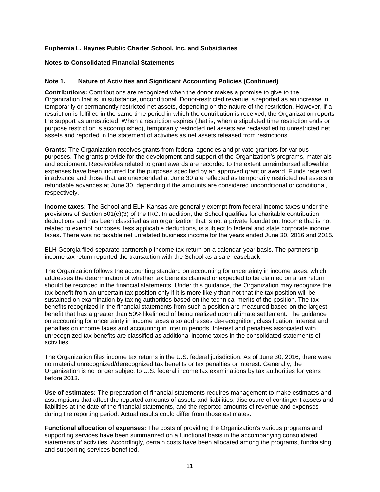#### **Notes to Consolidated Financial Statements**

## **Note 1. Nature of Activities and Significant Accounting Policies (Continued)**

**Contributions:** Contributions are recognized when the donor makes a promise to give to the Organization that is, in substance, unconditional. Donor-restricted revenue is reported as an increase in temporarily or permanently restricted net assets, depending on the nature of the restriction. However, if a restriction is fulfilled in the same time period in which the contribution is received, the Organization reports the support as unrestricted. When a restriction expires (that is, when a stipulated time restriction ends or purpose restriction is accomplished), temporarily restricted net assets are reclassified to unrestricted net assets and reported in the statement of activities as net assets released from restrictions.

**Grants:** The Organization receives grants from federal agencies and private grantors for various purposes. The grants provide for the development and support of the Organization's programs, materials and equipment. Receivables related to grant awards are recorded to the extent unreimbursed allowable expenses have been incurred for the purposes specified by an approved grant or award. Funds received in advance and those that are unexpended at June 30 are reflected as temporarily restricted net assets or refundable advances at June 30, depending if the amounts are considered unconditional or conditional, respectively.

**Income taxes:** The School and ELH Kansas are generally exempt from federal income taxes under the provisions of Section 501(c)(3) of the IRC. In addition, the School qualifies for charitable contribution deductions and has been classified as an organization that is not a private foundation. Income that is not related to exempt purposes, less applicable deductions, is subject to federal and state corporate income taxes. There was no taxable net unrelated business income for the years ended June 30, 2016 and 2015.

ELH Georgia filed separate partnership income tax return on a calendar-year basis. The partnership income tax return reported the transaction with the School as a sale-leaseback.

The Organization follows the accounting standard on accounting for uncertainty in income taxes, which addresses the determination of whether tax benefits claimed or expected to be claimed on a tax return should be recorded in the financial statements. Under this guidance, the Organization may recognize the tax benefit from an uncertain tax position only if it is more likely than not that the tax position will be sustained on examination by taxing authorities based on the technical merits of the position. The tax benefits recognized in the financial statements from such a position are measured based on the largest benefit that has a greater than 50% likelihood of being realized upon ultimate settlement. The guidance on accounting for uncertainty in income taxes also addresses de-recognition, classification, interest and penalties on income taxes and accounting in interim periods. Interest and penalties associated with unrecognized tax benefits are classified as additional income taxes in the consolidated statements of activities.

The Organization files income tax returns in the U.S. federal jurisdiction. As of June 30, 2016, there were no material unrecognized/derecognized tax benefits or tax penalties or interest. Generally, the Organization is no longer subject to U.S. federal income tax examinations by tax authorities for years before 2013.

**Use of estimates:** The preparation of financial statements requires management to make estimates and assumptions that affect the reported amounts of assets and liabilities, disclosure of contingent assets and liabilities at the date of the financial statements, and the reported amounts of revenue and expenses during the reporting period. Actual results could differ from those estimates.

**Functional allocation of expenses:** The costs of providing the Organization's various programs and supporting services have been summarized on a functional basis in the accompanying consolidated statements of activities. Accordingly, certain costs have been allocated among the programs, fundraising and supporting services benefited.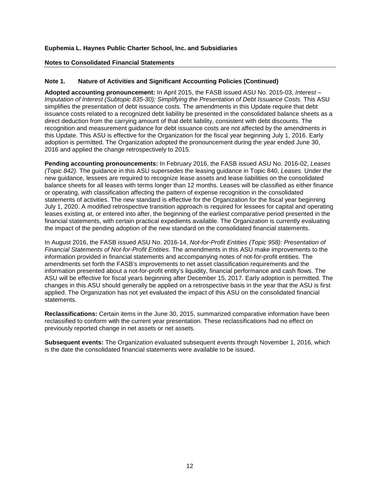#### **Notes to Consolidated Financial Statements**

## **Note 1. Nature of Activities and Significant Accounting Policies (Continued)**

**Adopted accounting pronouncement:** In April 2015, the FASB issued ASU No. 2015-03, *Interest – Imputation of Interest (Subtopic 835-30); Simplifying the Presentation of Debt Issuance Costs*. This ASU simplifies the presentation of debt issuance costs. The amendments in this Update require that debt issuance costs related to a recognized debt liability be presented in the consolidated balance sheets as a direct deduction from the carrying amount of that debt liability, consistent with debt discounts. The recognition and measurement guidance for debt issuance costs are not affected by the amendments in this Update. This ASU is effective for the Organization for the fiscal year beginning July 1, 2016. Early adoption is permitted. The Organization adopted the pronouncement during the year ended June 30, 2016 and applied the change retrospectively to 2015.

**Pending accounting pronouncements:** In February 2016, the FASB issued ASU No. 2016-02, *Leases (Topic 842).* The guidance in this ASU supersedes the leasing guidance in Topic 840, *Leases.* Under the new guidance, lessees are required to recognize lease assets and lease liabilities on the consolidated balance sheets for all leases with terms longer than 12 months. Leases will be classified as either finance or operating, with classification affecting the pattern of expense recognition in the consolidated statements of activities. The new standard is effective for the Organization for the fiscal year beginning July 1, 2020. A modified retrospective transition approach is required for lessees for capital and operating leases existing at, or entered into after, the beginning of the earliest comparative period presented in the financial statements, with certain practical expedients available. The Organization is currently evaluating the impact of the pending adoption of the new standard on the consolidated financial statements.

In August 2016, the FASB issued ASU No. 2016-14, *Not-for-Profit Entities (Topic 958): Presentation of Financial Statements of Not-for-Profit Entities.* The amendments in this ASU make improvements to the information provided in financial statements and accompanying notes of not-for-profit entities. The amendments set forth the FASB's improvements to net asset classification requirements and the information presented about a not-for-profit entity's liquidity, financial performance and cash flows. The ASU will be effective for fiscal years beginning after December 15, 2017. Early adoption is permitted. The changes in this ASU should generally be applied on a retrospective basis in the year that the ASU is first applied. The Organization has not yet evaluated the impact of this ASU on the consolidated financial statements.

**Reclassifications:** Certain items in the June 30, 2015, summarized comparative information have been reclassified to conform with the current year presentation. These reclassifications had no effect on previously reported change in net assets or net assets.

**Subsequent events:** The Organization evaluated subsequent events through November 1, 2016, which is the date the consolidated financial statements were available to be issued.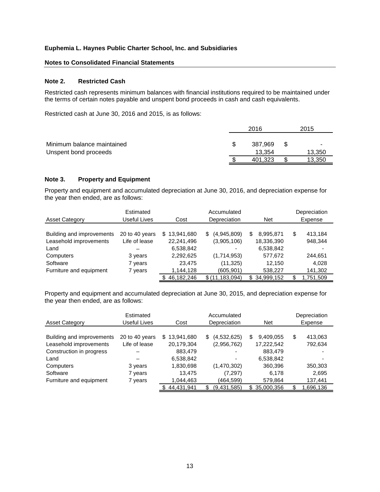#### **Notes to Consolidated Financial Statements**

#### **Note 2. Restricted Cash**

Restricted cash represents minimum balances with financial institutions required to be maintained under the terms of certain notes payable and unspent bond proceeds in cash and cash equivalents.

Restricted cash at June 30, 2016 and 2015, is as follows:

|                            | 2016    |      | 2015   |
|----------------------------|---------|------|--------|
| Minimum balance maintained | 387.969 | - \$ | ۰      |
| Unspent bond proceeds      | 13.354  |      | 13,350 |
|                            | 401.323 |      | 13.350 |

## **Note 3. Property and Equipment**

Property and equipment and accumulated depreciation at June 30, 2016, and depreciation expense for the year then ended, are as follows:

|                           | Estimated      |                  | Accumulated       |                  | Depreciation  |
|---------------------------|----------------|------------------|-------------------|------------------|---------------|
| <b>Asset Category</b>     | Useful Lives   | Cost             | Depreciation      | <b>Net</b>       | Expense       |
|                           |                |                  |                   |                  |               |
| Building and improvements | 20 to 40 years | 13,941,680<br>S. | (4,945,809)<br>\$ | 8,995,871<br>S   | \$<br>413,184 |
| Leasehold improvements    | Life of lease  | 22,241,496       | (3,905,106)       | 18,336,390       | 948,344       |
| Land                      |                | 6,538,842        |                   | 6,538,842        |               |
| Computers                 | 3 years        | 2,292,625        | (1,714,953)       | 577,672          | 244.651       |
| Software                  | 7 years        | 23.475           | (11, 325)         | 12.150           | 4.028         |
| Furniture and equipment   | 7 years        | 1,144,128        | (605, 901)        | 538,227          | 141,302       |
|                           |                | 46,182,246       | \$(11, 183, 094)  | 34,999,152<br>S. | 1,751,509     |

Property and equipment and accumulated depreciation at June 30, 2015, and depreciation expense for the year then ended, are as follows:

|                           | Estimated      |                  | Accumulated       |                   | Depreciation  |
|---------------------------|----------------|------------------|-------------------|-------------------|---------------|
| <b>Asset Category</b>     | Useful Lives   | Cost             | Depreciation      | <b>Net</b>        | Expense       |
|                           |                |                  |                   |                   |               |
| Building and improvements | 20 to 40 years | 13,941,680<br>S. | (4,532,625)<br>S. | 9,409,055<br>S    | \$<br>413,063 |
| Leasehold improvements    | Life of lease  | 20,179,304       | (2,956,762)       | 17,222,542        | 792,634       |
| Construction in progress  |                | 883,479          |                   | 883.479           |               |
| Land                      |                | 6,538,842        |                   | 6,538,842         |               |
| Computers                 | 3 years        | 1,830,698        | (1,470,302)       | 360,396           | 350,303       |
| Software                  | 7 years        | 13,475           | (7, 297)          | 6,178             | 2,695         |
| Furniture and equipment   | 7 years        | 1,044,463        | (464,599)         | 579,864           | 137,441       |
|                           |                | 44,431,941       | (9,431,585)<br>S  | 35,000,356<br>\$. | 1,696,136     |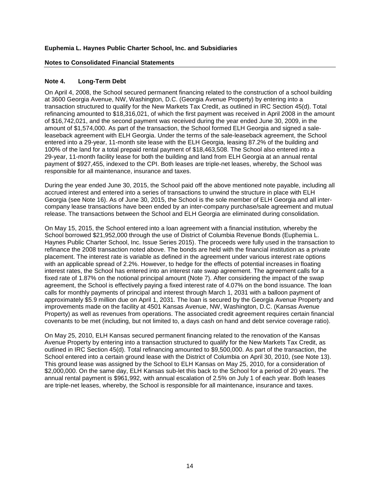#### **Notes to Consolidated Financial Statements**

# **Note 4. Long-Term Debt**

On April 4, 2008, the School secured permanent financing related to the construction of a school building at 3600 Georgia Avenue, NW, Washington, D.C. (Georgia Avenue Property) by entering into a transaction structured to qualify for the New Markets Tax Credit, as outlined in IRC Section 45(d). Total refinancing amounted to \$18,316,021, of which the first payment was received in April 2008 in the amount of \$16,742,021, and the second payment was received during the year ended June 30, 2009, in the amount of \$1,574,000. As part of the transaction, the School formed ELH Georgia and signed a saleleaseback agreement with ELH Georgia. Under the terms of the sale-leaseback agreement, the School entered into a 29-year, 11-month site lease with the ELH Georgia, leasing 87.2% of the building and 100% of the land for a total prepaid rental payment of \$18,463,508. The School also entered into a 29-year, 11-month facility lease for both the building and land from ELH Georgia at an annual rental payment of \$927,455, indexed to the CPI. Both leases are triple-net leases, whereby, the School was responsible for all maintenance, insurance and taxes.

During the year ended June 30, 2015, the School paid off the above mentioned note payable, including all accrued interest and entered into a series of transactions to unwind the structure in place with ELH Georgia (see Note 16). As of June 30, 2015, the School is the sole member of ELH Georgia and all intercompany lease transactions have been ended by an inter-company purchase/sale agreement and mutual release. The transactions between the School and ELH Georgia are eliminated during consolidation.

On May 15, 2015, the School entered into a loan agreement with a financial institution, whereby the School borrowed \$21,952,000 through the use of District of Columbia Revenue Bonds (Euphemia L. Haynes Public Charter School, Inc. Issue Series 2015). The proceeds were fully used in the transaction to refinance the 2008 transaction noted above. The bonds are held with the financial institution as a private placement. The interest rate is variable as defined in the agreement under various interest rate options with an applicable spread of 2.2%. However, to hedge for the effects of potential increases in floating interest rates, the School has entered into an interest rate swap agreement. The agreement calls for a fixed rate of 1.87% on the notional principal amount (Note 7). After considering the impact of the swap agreement, the School is effectively paying a fixed interest rate of 4.07% on the bond issuance. The loan calls for monthly payments of principal and interest through March 1, 2031 with a balloon payment of approximately \$5.9 million due on April 1, 2031. The loan is secured by the Georgia Avenue Property and improvements made on the facility at 4501 Kansas Avenue, NW, Washington, D.C. (Kansas Avenue Property) as well as revenues from operations. The associated credit agreement requires certain financial covenants to be met (including, but not limited to, a days cash on hand and debt service coverage ratio).

On May 25, 2010, ELH Kansas secured permanent financing related to the renovation of the Kansas Avenue Property by entering into a transaction structured to qualify for the New Markets Tax Credit, as outlined in IRC Section 45(d). Total refinancing amounted to \$9,500,000. As part of the transaction, the School entered into a certain ground lease with the District of Columbia on April 30, 2010, (see Note 13). This ground lease was assigned by the School to ELH Kansas on May 25, 2010, for a consideration of \$2,000,000. On the same day, ELH Kansas sub-let this back to the School for a period of 20 years. The annual rental payment is \$961,992, with annual escalation of 2.5% on July 1 of each year. Both leases are triple-net leases, whereby, the School is responsible for all maintenance, insurance and taxes.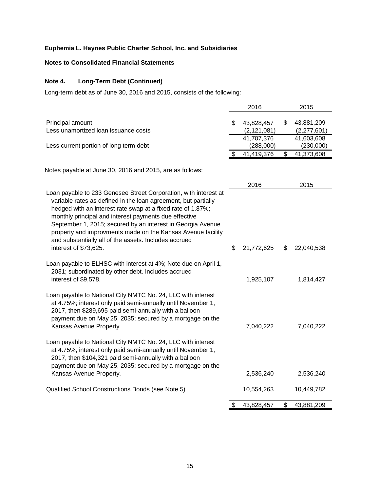# **Notes to Consolidated Financial Statements**

# **Note 4. Long-Term Debt (Continued)**

Long-term debt as of June 30, 2016 and 2015, consists of the following:

|                                                                                                                                                                                                                                                                                                                                                                                                                                                                            |    | 2016                                      | 2015                                          |
|----------------------------------------------------------------------------------------------------------------------------------------------------------------------------------------------------------------------------------------------------------------------------------------------------------------------------------------------------------------------------------------------------------------------------------------------------------------------------|----|-------------------------------------------|-----------------------------------------------|
| Principal amount<br>Less unamortized loan issuance costs                                                                                                                                                                                                                                                                                                                                                                                                                   | \$ | 43,828,457<br>(2, 121, 081)<br>41,707,376 | \$<br>43,881,209<br>(2,277,601)<br>41,603,608 |
| Less current portion of long term debt                                                                                                                                                                                                                                                                                                                                                                                                                                     | S  | (288,000)<br>41,419,376                   | \$<br>(230,000)<br>41,373,608                 |
| Notes payable at June 30, 2016 and 2015, are as follows:                                                                                                                                                                                                                                                                                                                                                                                                                   |    |                                           |                                               |
| Loan payable to 233 Genesee Street Corporation, with interest at<br>variable rates as defined in the loan agreement, but partially<br>hedged with an interest rate swap at a fixed rate of 1.87%;<br>monthly principal and interest payments due effective<br>September 1, 2015; secured by an interest in Georgia Avenue<br>property and improvments made on the Kansas Avenue facility<br>and substantially all of the assets. Includes accrued<br>interest of \$73,625. | \$ | 2016<br>21,772,625                        | \$<br>2015<br>22,040,538                      |
| Loan payable to ELHSC with interest at 4%; Note due on April 1,<br>2031; subordinated by other debt. Includes accrued<br>interest of \$9,578.                                                                                                                                                                                                                                                                                                                              |    | 1,925,107                                 | 1,814,427                                     |
| Loan payable to National City NMTC No. 24, LLC with interest<br>at 4.75%; interest only paid semi-annually until November 1,<br>2017, then \$289,695 paid semi-annually with a balloon<br>payment due on May 25, 2035; secured by a mortgage on the<br>Kansas Avenue Property.                                                                                                                                                                                             |    | 7,040,222                                 | 7,040,222                                     |
| Loan payable to National City NMTC No. 24, LLC with interest<br>at 4.75%; interest only paid semi-annually until November 1,<br>2017, then \$104,321 paid semi-annually with a balloon<br>payment due on May 25, 2035; secured by a mortgage on the<br>Kansas Avenue Property.                                                                                                                                                                                             |    | 2,536,240                                 | 2,536,240                                     |
| Qualified School Constructions Bonds (see Note 5)                                                                                                                                                                                                                                                                                                                                                                                                                          |    | 10,554,263                                | 10,449,782                                    |
|                                                                                                                                                                                                                                                                                                                                                                                                                                                                            | \$ | 43,828,457                                | \$<br>43,881,209                              |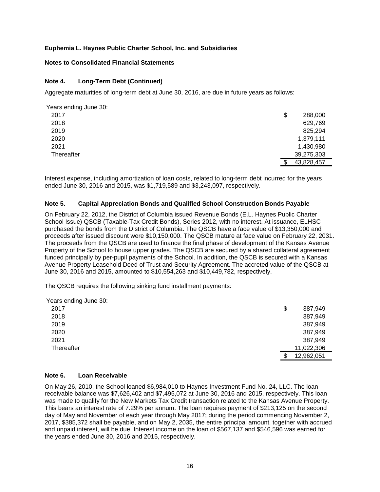#### **Notes to Consolidated Financial Statements**

#### **Note 4. Long-Term Debt (Continued)**

Aggregate maturities of long-term debt at June 30, 2016, are due in future years as follows:

| Years ending June 30: |               |
|-----------------------|---------------|
| 2017                  | \$<br>288,000 |
| 2018                  | 629,769       |
| 2019                  | 825,294       |
| 2020                  | 1,379,111     |
| 2021                  | 1,430,980     |
| Thereafter            | 39,275,303    |
|                       | 43,828,457    |

Interest expense, including amortization of loan costs, related to long-term debt incurred for the years ended June 30, 2016 and 2015, was \$1,719,589 and \$3,243,097, respectively.

#### **Note 5. Capital Appreciation Bonds and Qualified School Construction Bonds Payable**

On February 22, 2012, the District of Columbia issued Revenue Bonds (E.L. Haynes Public Charter School Issue) QSCB (Taxable-Tax Credit Bonds), Series 2012, with no interest. At issuance, ELHSC purchased the bonds from the District of Columbia. The QSCB have a face value of \$13,350,000 and proceeds after issued discount were \$10,150,000. The QSCB mature at face value on February 22, 2031. The proceeds from the QSCB are used to finance the final phase of development of the Kansas Avenue Property of the School to house upper grades. The QSCB are secured by a shared collateral agreement funded principally by per-pupil payments of the School. In addition, the QSCB is secured with a Kansas Avenue Property Leasehold Deed of Trust and Security Agreement. The accreted value of the QSCB at June 30, 2016 and 2015, amounted to \$10,554,263 and \$10,449,782, respectively.

The QSCB requires the following sinking fund installment payments:

| Years ending June 30: |               |
|-----------------------|---------------|
| 2017                  | \$<br>387,949 |
| 2018                  | 387,949       |
| 2019                  | 387,949       |
| 2020                  | 387,949       |
| 2021                  | 387,949       |
| Thereafter            | 11,022,306    |
|                       | 12,962,051    |

#### **Note 6. Loan Receivable**

On May 26, 2010, the School loaned \$6,984,010 to Haynes Investment Fund No. 24, LLC. The loan receivable balance was \$7,626,402 and \$7,495,072 at June 30, 2016 and 2015, respectively. This loan was made to qualify for the New Markets Tax Credit transaction related to the Kansas Avenue Property. This bears an interest rate of 7.29% per annum. The loan requires payment of \$213,125 on the second day of May and November of each year through May 2017; during the period commencing November 2, 2017, \$385,372 shall be payable, and on May 2, 2035, the entire principal amount, together with accrued and unpaid interest, will be due. Interest income on the loan of \$567,137 and \$546,596 was earned for the years ended June 30, 2016 and 2015, respectively.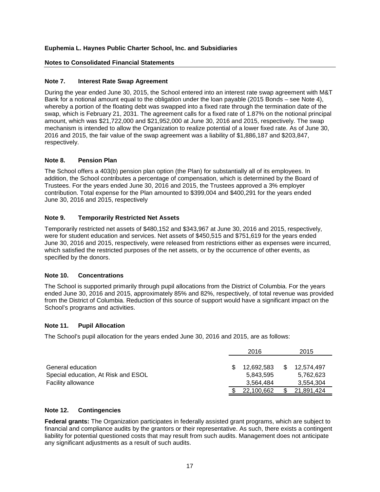# **Notes to Consolidated Financial Statements**

# **Note 7. Interest Rate Swap Agreement**

During the year ended June 30, 2015, the School entered into an interest rate swap agreement with M&T Bank for a notional amount equal to the obligation under the loan payable (2015 Bonds – see Note 4), whereby a portion of the floating debt was swapped into a fixed rate through the termination date of the swap, which is February 21, 2031. The agreement calls for a fixed rate of 1.87% on the notional principal amount, which was \$21,722,000 and \$21,952,000 at June 30, 2016 and 2015, respectively. The swap mechanism is intended to allow the Organization to realize potential of a lower fixed rate. As of June 30, 2016 and 2015, the fair value of the swap agreement was a liability of \$1,886,187 and \$203,847, respectively.

# **Note 8. Pension Plan**

The School offers a 403(b) pension plan option (the Plan) for substantially all of its employees. In addition, the School contributes a percentage of compensation, which is determined by the Board of Trustees. For the years ended June 30, 2016 and 2015, the Trustees approved a 3% employer contribution. Total expense for the Plan amounted to \$399,004 and \$400,291 for the years ended June 30, 2016 and 2015, respectively

# **Note 9. Temporarily Restricted Net Assets**

Temporarily restricted net assets of \$480,152 and \$343,967 at June 30, 2016 and 2015, respectively, were for student education and services. Net assets of \$450,515 and \$751,619 for the years ended June 30, 2016 and 2015, respectively, were released from restrictions either as expenses were incurred, which satisfied the restricted purposes of the net assets, or by the occurrence of other events, as specified by the donors.

# **Note 10. Concentrations**

The School is supported primarily through pupil allocations from the District of Columbia. For the years ended June 30, 2016 and 2015, approximately 85% and 82%, respectively, of total revenue was provided from the District of Columbia. Reduction of this source of support would have a significant impact on the School's programs and activities.

# **Note 11. Pupil Allocation**

The School's pupil allocation for the years ended June 30, 2016 and 2015, are as follows:

|                                     | 2016       | 2015       |  |
|-------------------------------------|------------|------------|--|
|                                     |            |            |  |
| General education                   | 12.692.583 | 12.574.497 |  |
| Special education, At Risk and ESOL | 5.843.595  | 5,762,623  |  |
| <b>Facility allowance</b>           | 3.564.484  | 3.554.304  |  |
|                                     | 22,100,662 | 21,891,424 |  |

# **Note 12. Contingencies**

**Federal grants:** The Organization participates in federally assisted grant programs, which are subject to financial and compliance audits by the grantors or their representative. As such, there exists a contingent liability for potential questioned costs that may result from such audits. Management does not anticipate any significant adjustments as a result of such audits.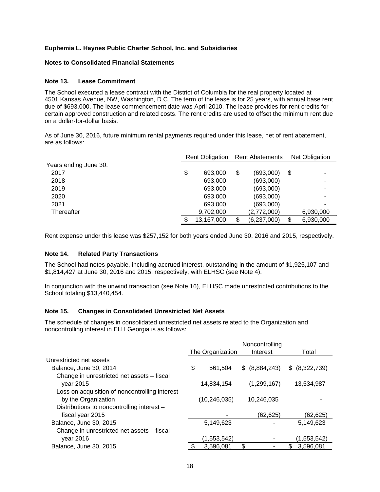#### **Notes to Consolidated Financial Statements**

#### **Note 13. Lease Commitment**

The School executed a lease contract with the District of Columbia for the real property located at 4501 Kansas Avenue, NW, Washington, D.C. The term of the lease is for 25 years, with annual base rent due of \$693,000. The lease commencement date was April 2010. The lease provides for rent credits for certain approved construction and related costs. The rent credits are used to offset the minimum rent due on a dollar-for-dollar basis.

As of June 30, 2016, future minimum rental payments required under this lease, net of rent abatement, are as follows:

|                       | <b>Rent Obligation</b> |    | <b>Rent Abatements</b> |    | <b>Net Obligation</b> |  |
|-----------------------|------------------------|----|------------------------|----|-----------------------|--|
| Years ending June 30: |                        |    |                        |    |                       |  |
| 2017                  | \$<br>693,000          | \$ | (693,000)              | \$ |                       |  |
| 2018                  | 693,000                |    | (693,000)              |    |                       |  |
| 2019                  | 693,000                |    | (693,000)              |    |                       |  |
| 2020                  | 693,000                |    | (693,000)              |    |                       |  |
| 2021                  | 693,000                |    | (693,000)              |    |                       |  |
| Thereafter            | 9,702,000              |    | (2,772,000)            |    | 6,930,000             |  |
|                       | 13,167,000             |    | (6,237,000)            |    | 6,930,000             |  |

Rent expense under this lease was \$257,152 for both years ended June 30, 2016 and 2015, respectively.

## **Note 14. Related Party Transactions**

The School had notes payable, including accrued interest, outstanding in the amount of \$1,925,107 and \$1,814,427 at June 30, 2016 and 2015, respectively, with ELHSC (see Note 4).

In conjunction with the unwind transaction (see Note 16), ELHSC made unrestricted contributions to the School totaling \$13,440,454.

#### **Note 15. Changes in Consolidated Unrestricted Net Assets**

The schedule of changes in consolidated unrestricted net assets related to the Organization and noncontrolling interest in ELH Georgia is as follows:

|                                                | Noncontrolling |                  |                |                |  |
|------------------------------------------------|----------------|------------------|----------------|----------------|--|
|                                                |                | The Organization | Interest       | Total          |  |
| Unrestricted net assets                        |                |                  |                |                |  |
| Balance, June 30, 2014                         | \$             | 561.504          | \$ (8,884,243) | \$ (8,322,739) |  |
| Change in unrestricted net assets - fiscal     |                |                  |                |                |  |
| year 2015                                      |                | 14,834,154       | (1, 299, 167)  | 13,534,987     |  |
| Loss on acquisition of noncontrolling interest |                |                  |                |                |  |
| by the Organization                            |                | (10, 246, 035)   | 10,246,035     |                |  |
| Distributions to noncontrolling interest -     |                |                  |                |                |  |
| fiscal year 2015                               |                |                  | (62,625)       | (62,625)       |  |
| Balance, June 30, 2015                         |                | 5,149,623        |                | 5,149,623      |  |
| Change in unrestricted net assets - fiscal     |                |                  |                |                |  |
| year 2016                                      |                | (1,553,542)      |                | (1,553,542)    |  |
| Balance, June 30, 2015                         |                | 3,596,081        |                | 3,596,081      |  |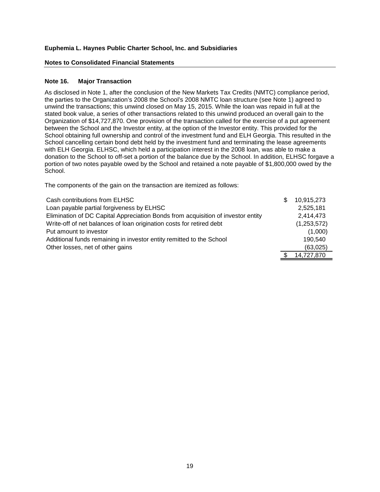#### **Notes to Consolidated Financial Statements**

#### **Note 16. Major Transaction**

As disclosed in Note 1, after the conclusion of the New Markets Tax Credits (NMTC) compliance period, the parties to the Organization's 2008 the School's 2008 NMTC loan structure (see Note 1) agreed to unwind the transactions; this unwind closed on May 15, 2015. While the loan was repaid in full at the stated book value, a series of other transactions related to this unwind produced an overall gain to the Organization of \$14,727,870. One provision of the transaction called for the exercise of a put agreement between the School and the Investor entity, at the option of the Investor entity. This provided for the School obtaining full ownership and control of the investment fund and ELH Georgia. This resulted in the School cancelling certain bond debt held by the investment fund and terminating the lease agreements with ELH Georgia. ELHSC, which held a participation interest in the 2008 loan, was able to make a donation to the School to off-set a portion of the balance due by the School. In addition, ELHSC forgave a portion of two notes payable owed by the School and retained a note payable of \$1,800,000 owed by the School.

The components of the gain on the transaction are itemized as follows:

| Cash contributions from ELHSC                                                    | \$<br>10,915,273 |
|----------------------------------------------------------------------------------|------------------|
| Loan payable partial forgiveness by ELHSC                                        | 2,525,181        |
| Elimination of DC Capital Appreciation Bonds from acquisition of investor entity | 2,414,473        |
| Write-off of net balances of loan origination costs for retired debt             | (1,253,572)      |
| Put amount to investor                                                           | (1,000)          |
| Additional funds remaining in investor entity remitted to the School             | 190,540          |
| Other losses, net of other gains                                                 | (63,025)         |
|                                                                                  | 14,727,870       |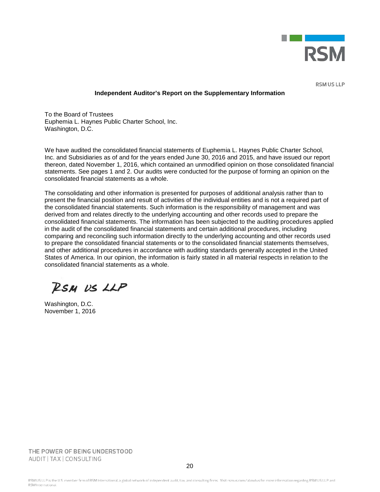

**RSM US LLP** 

#### **Independent Auditor's Report on the Supplementary Information**

To the Board of Trustees Euphemia L. Haynes Public Charter School, Inc. Washington, D.C.

We have audited the consolidated financial statements of Euphemia L. Haynes Public Charter School, Inc. and Subsidiaries as of and for the years ended June 30, 2016 and 2015, and have issued our report thereon, dated November 1, 2016, which contained an unmodified opinion on those consolidated financial statements. See pages 1 and 2. Our audits were conducted for the purpose of forming an opinion on the consolidated financial statements as a whole.

The consolidating and other information is presented for purposes of additional analysis rather than to present the financial position and result of activities of the individual entities and is not a required part of the consolidated financial statements. Such information is the responsibility of management and was derived from and relates directly to the underlying accounting and other records used to prepare the consolidated financial statements. The information has been subjected to the auditing procedures applied in the audit of the consolidated financial statements and certain additional procedures, including comparing and reconciling such information directly to the underlying accounting and other records used to prepare the consolidated financial statements or to the consolidated financial statements themselves, and other additional procedures in accordance with auditing standards generally accepted in the United States of America. In our opinion, the information is fairly stated in all material respects in relation to the consolidated financial statements as a whole.

RSM US LLP

Washington, D.C. November 1, 2016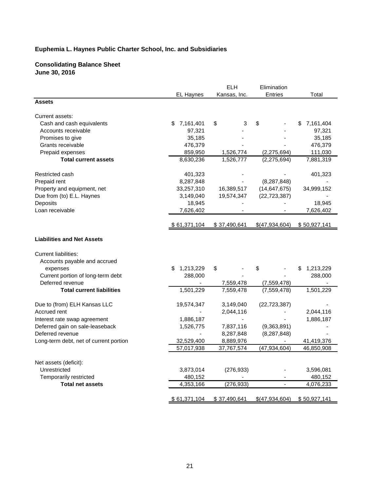#### **Consolidating Balance Sheet June 30, 2016**

|                                        |                  | <b>ELH</b>   | Elimination    |                 |
|----------------------------------------|------------------|--------------|----------------|-----------------|
|                                        | <b>EL Haynes</b> | Kansas, Inc. | <b>Entries</b> | Total           |
| <b>Assets</b>                          |                  |              |                |                 |
| Current assets:                        |                  |              |                |                 |
| Cash and cash equivalents              | 7,161,401<br>\$  | \$<br>3      | \$             | 7,161,404<br>\$ |
| Accounts receivable                    | 97,321           |              |                | 97,321          |
| Promises to give                       | 35,185           |              |                | 35,185          |
| Grants receivable                      | 476,379          |              |                | 476,379         |
| Prepaid expenses                       | 859,950          | 1,526,774    | (2,275,694)    | 111,030         |
| <b>Total current assets</b>            | 8,630,236        | 1,526,777    | (2, 275, 694)  | 7,881,319       |
| Restricted cash                        | 401,323          |              |                | 401,323         |
| Prepaid rent                           | 8,287,848        |              | (8, 287, 848)  |                 |
| Property and equipment, net            | 33,257,310       | 16,389,517   | (14, 647, 675) | 34,999,152      |
| Due from (to) E.L. Haynes              | 3,149,040        | 19,574,347   | (22, 723, 387) |                 |
| Deposits                               | 18,945           |              |                | 18,945          |
| Loan receivable                        | 7,626,402        |              |                | 7,626,402       |
|                                        | \$ 61,371,104    | \$37,490,641 | \$(47,934,604) | \$50,927,141    |
| <b>Liabilities and Net Assets</b>      |                  |              |                |                 |
| Current liabilities:                   |                  |              |                |                 |
| Accounts payable and accrued           |                  |              |                |                 |
| expenses                               | 1,213,229        | \$           | \$             | 1,213,229<br>\$ |
| Current portion of long-term debt      | 288,000          |              |                | 288,000         |
| Deferred revenue                       |                  | 7,559,478    | (7,559,478)    |                 |
| <b>Total current liabilities</b>       | 1,501,229        | 7,559,478    | (7,559,478)    | 1,501,229       |
| Due to (from) ELH Kansas LLC           | 19,574,347       | 3,149,040    | (22, 723, 387) |                 |
| Accrued rent                           |                  | 2,044,116    |                | 2,044,116       |
| Interest rate swap agreement           | 1,886,187        |              |                | 1,886,187       |
| Deferred gain on sale-leaseback        | 1,526,775        | 7,837,116    | (9,363,891)    |                 |
| Deferred revenue                       | $\blacksquare$   | 8,287,848    | (8, 287, 848)  |                 |
| Long-term debt, net of current portion | 32,529,400       | 8,889,976    |                | 41,419,376      |
|                                        | 57,017,938       | 37,767,574   | (47, 934, 604) | 46,850,908      |
|                                        |                  |              |                |                 |
| Net assets (deficit):                  |                  |              |                |                 |
| Unrestricted                           | 3,873,014        | (276, 933)   |                | 3,596,081       |
| Temporarily restricted                 | 480,152          |              |                | 480,152         |
| <b>Total net assets</b>                | 4,353,166        | (276, 933)   | ÷,             | 4,076,233       |
|                                        | \$61,371,104     | \$37,490,641 | \$(47,934,604) | \$50,927,141    |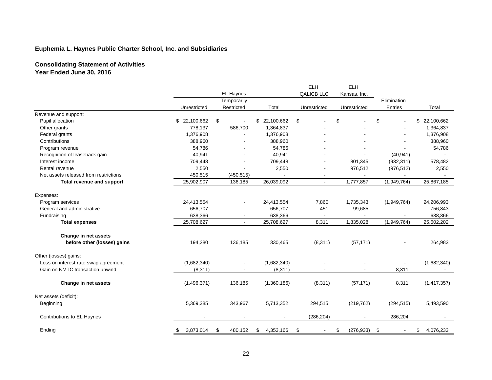# **Consolidating Statement of Activities Year Ended June 30, 2016**

|                                       |                 |                          |                 | <b>ELH</b>        | <b>ELH</b>       |             |                  |
|---------------------------------------|-----------------|--------------------------|-----------------|-------------------|------------------|-------------|------------------|
|                                       |                 | EL Haynes                |                 | <b>QALICB LLC</b> | Kansas, Inc.     |             |                  |
|                                       |                 | Temporarily              |                 |                   |                  | Elimination |                  |
|                                       | Unrestricted    | Restricted               | Total           | Unrestricted      | Unrestricted     | Entries     | Total            |
| Revenue and support:                  |                 |                          |                 |                   |                  |             |                  |
| Pupil allocation                      | \$22,100,662    | \$                       | \$ 22,100,662   | \$                | \$               | \$          | 22,100,662<br>\$ |
| Other grants                          | 778,137         | 586,700                  | 1,364,837       |                   |                  |             | 1,364,837        |
| Federal grants                        | 1,376,908       |                          | 1,376,908       |                   |                  |             | 1,376,908        |
| Contributions                         | 388,960         |                          | 388,960         |                   |                  |             | 388,960          |
| Program revenue                       | 54,786          |                          | 54,786          |                   |                  |             | 54,786           |
| Recognition of leaseback gain         | 40,941          |                          | 40,941          |                   |                  | (40, 941)   |                  |
| Interest income                       | 709,448         |                          | 709,448         |                   | 801,345          | (932, 311)  | 578,482          |
| Rental revenue                        | 2,550           |                          | 2,550           |                   | 976,512          | (976, 512)  | 2,550            |
| Net assets released from restrictions | 450,515         | (450, 515)               |                 |                   |                  |             |                  |
| Total revenue and support             | 25,902,907      | 136,185                  | 26,039,092      | $\blacksquare$    | 1,777,857        | (1,949,764) | 25,867,185       |
| Expenses:                             |                 |                          |                 |                   |                  |             |                  |
| Program services                      | 24,413,554      | $\mathbf{r}$             | 24,413,554      | 7,860             | 1,735,343        | (1,949,764) | 24,206,993       |
| General and administrative            | 656,707         |                          | 656,707         | 451               | 99,685           |             | 756,843          |
| Fundraising                           | 638,366         | $\blacksquare$           | 638,366         |                   |                  |             | 638,366          |
| <b>Total expenses</b>                 | 25,708,627      | $\blacksquare$           | 25,708,627      | 8,311             | 1,835,028        | (1,949,764) | 25,602,202       |
|                                       |                 |                          |                 |                   |                  |             |                  |
| Change in net assets                  |                 |                          |                 |                   |                  |             |                  |
| before other (losses) gains           | 194,280         | 136,185                  | 330,465         | (8,311)           | (57, 171)        |             | 264,983          |
| Other (losses) gains:                 |                 |                          |                 |                   |                  |             |                  |
| Loss on interest rate swap agreement  | (1,682,340)     |                          | (1,682,340)     |                   |                  |             | (1,682,340)      |
| Gain on NMTC transaction unwind       | (8, 311)        | $\overline{\phantom{a}}$ | (8, 311)        |                   |                  | 8,311       |                  |
|                                       |                 |                          |                 |                   |                  |             |                  |
| Change in net assets                  | (1,496,371)     | 136,185                  | (1,360,186)     | (8,311)           | (57, 171)        | 8,311       | (1, 417, 357)    |
| Net assets (deficit):                 |                 |                          |                 |                   |                  |             |                  |
| Beginning                             | 5,369,385       | 343,967                  | 5,713,352       | 294,515           | (219, 762)       | (294, 515)  | 5,493,590        |
| Contributions to EL Haynes            | $\blacksquare$  | $\blacksquare$           | $\sim$          | (286, 204)        |                  | 286,204     |                  |
| Ending                                | 3,873,014<br>\$ | 480,152<br>\$            | 4,353,166<br>\$ | \$<br>$\sim$      | (276, 933)<br>\$ | \$          | \$<br>4,076,233  |
|                                       |                 |                          |                 |                   |                  |             |                  |